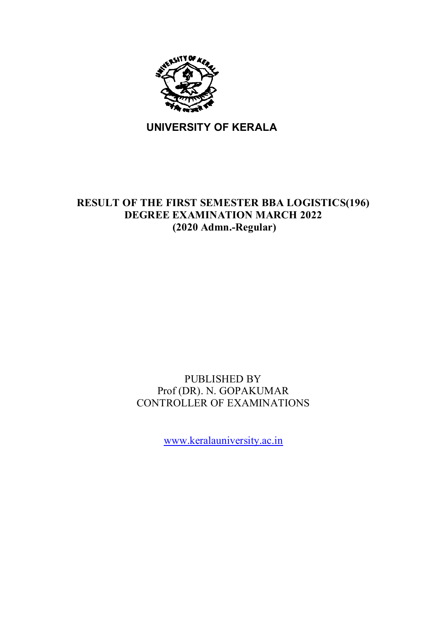

**UNIVERSITY OF KERALA**

# **RESULT OF THE FIRST SEMESTER BBA LOGISTICS(196) DEGREE EXAMINATION MARCH 2022 (2020 Admn.-Regular)**

# PUBLISHED BY Prof (DR). N. GOPAKUMAR CONTROLLER OF EXAMINATIONS

www.keralauniversity.ac.in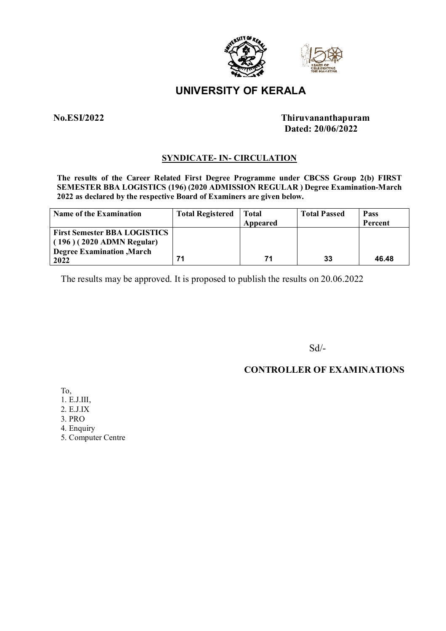

# **UNIVERSITY OF KERALA**

## **No.ESI/2022 Thiruvananthapuram Dated: 20/06/2022**

## **SYNDICATE- IN- CIRCULATION**

**The results of the Career Related First Degree Programme under CBCSS Group 2(b) FIRST SEMESTER BBA LOGISTICS (196) (2020 ADMISSION REGULAR ) Degree Examination-March 2022 as declared by the respective Board of Examiners are given below.**

| <b>Name of the Examination</b>                                                                                  | <b>Total Registered</b> | Total<br>Appeared | <b>Total Passed</b> | Pass<br>Percent |
|-----------------------------------------------------------------------------------------------------------------|-------------------------|-------------------|---------------------|-----------------|
| <b>First Semester BBA LOGISTICS</b><br>$(196) (2020$ ADMN Regular)<br><b>Degree Examination</b> , March<br>2022 | 71                      | 71                | 33                  | 46.48           |

The results may be approved. It is proposed to publish the results on 20.06.2022

Sd/-

## **CONTROLLER OF EXAMINATIONS**

To,

- 1. E.J.III,
- 2. E.J.IX
- 3. PRO
- 4. Enquiry
- 5. Computer Centre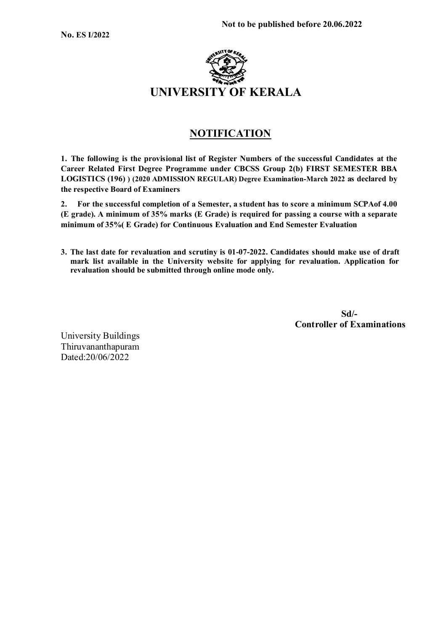

## **NOTIFICATION**

**1. The following is the provisional list of Register Numbers of the successful Candidates at the Career Related First Degree Programme under CBCSS Group 2(b) FIRST SEMESTER BBA LOGISTICS (196) ) (2020 ADMISSION REGULAR) Degree Examination-March 2022 as declared by the respective Board of Examiners**

**2. For the successful completion of a Semester, a student has to score a minimum SCPAof 4.00 (E grade). A minimum of 35% marks (E Grade) is required for passing a course with a separate minimum of 35%( E Grade) for Continuous Evaluation and End Semester Evaluation**

**3. The last date for revaluation and scrutiny is 01-07-2022. Candidates should make use of draft mark list available in the University website for applying for revaluation. Application for revaluation should be submitted through online mode only.**

 **Sd/- Controller of Examinations**

University Buildings Thiruvananthapuram Dated:20/06/2022